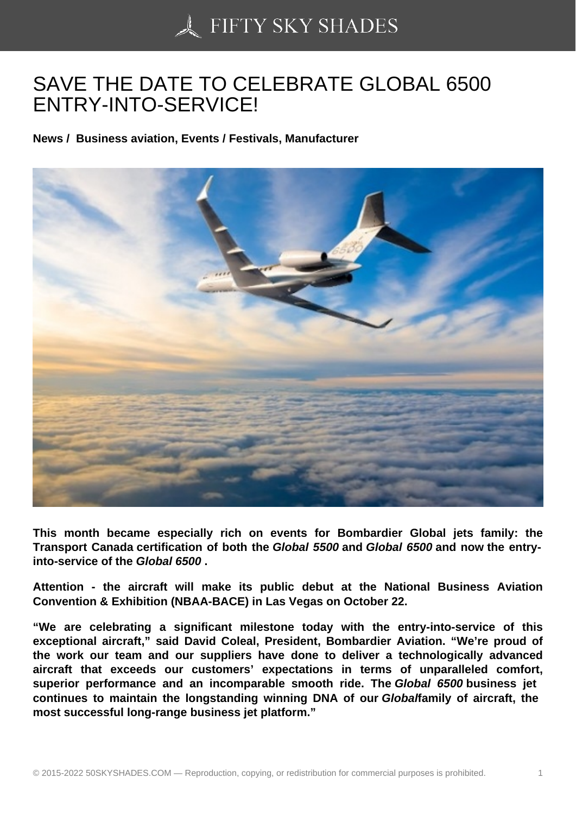## [SAVE THE DATE TO C](https://50skyshades.com)ELEBRATE GLOBAL 6500 ENTRY-INTO-SERVICE!

News / Business aviation, Events / Festivals, Manufacturer

This month became especially rich on events for Bombardier Global jets family: the Transport Canada certification of both the Global 5500 and Global 6500 and now the entryinto-service of the Global 6500 .

Attention - the aircraft will make its public debut at the National Business Aviation Convention & Exhibition (NBAA-BACE) in Las Vegas on October 22.

"We are celebrating a significant milestone today with the entry-into-service of this exceptional aircraft," said David Coleal, President, Bombardier Aviation. "We're proud of the work our team and our suppliers have done to deliver a technologically advanced aircraft that exceeds our customers' expectations in terms of unparalleled comfort, superior performance and an incomparable smooth ride. The Global 6500 business jet continues to maintain the longstanding winning DNA of our Global family of aircraft, the most successful long-range business jet platform."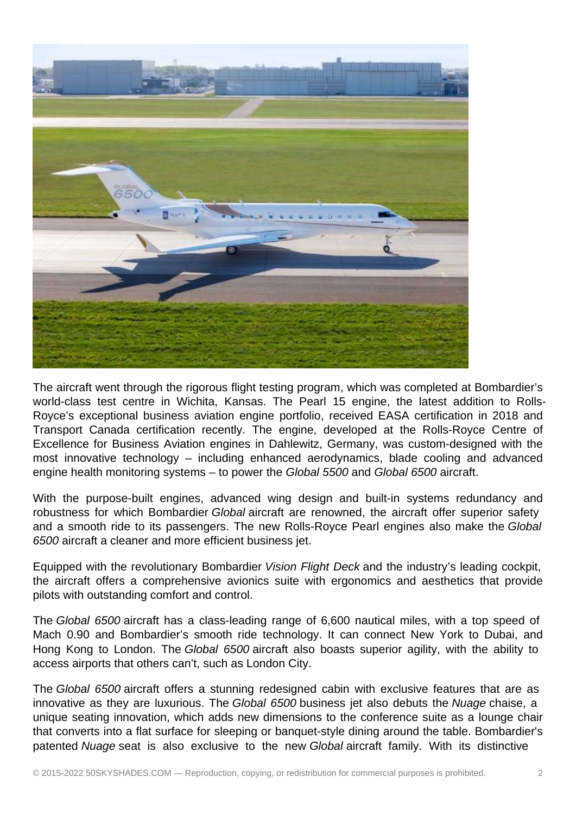

The aircraft went through the rigorous flight testing program, which was completed at Bombardier's world-class test centre in Wichita, Kansas. The Pearl 15 engine, the latest addition to Rolls-Royce's exceptional business aviation engine portfolio, received EASA certification in 2018 and Transport Canada certification recently. The engine, developed at the Rolls-Royce Centre of Excellence for Business Aviation engines in Dahlewitz, Germany, was custom-designed with the most innovative technology – including enhanced aerodynamics, blade cooling and advanced engine health monitoring systems – to power the Global 5500 and Global 6500 aircraft.

With the purpose-built engines, advanced wing design and built-in systems redundancy and robustness for which Bombardier Global aircraft are renowned, the aircraft offer superior safety and a smooth ride to its passengers. The new Rolls-Royce Pearl engines also make the Global 6500 aircraft a cleaner and more efficient business jet.

Equipped with the revolutionary Bombardier Vision Flight Deck and the industry's leading cockpit, the aircraft offers a comprehensive avionics suite with ergonomics and aesthetics that provide pilots with outstanding comfort and control.

The Global 6500 aircraft has a class-leading range of 6,600 nautical miles, with a top speed of Mach 0.90 and Bombardier's smooth ride technology. It can connect New York to Dubai, and Hong Kong to London. The Global 6500 aircraft also boasts superior agility, with the ability to access airports that others can't, such as London City.

The Global 6500 aircraft offers a stunning redesigned cabin with exclusive features that are as innovative as they are luxurious. The Global 6500 business jet also debuts the Nuage chaise, a unique seating innovation, which adds new dimensions to the conference suite as a lounge chair that converts into a flat surface for sleeping or banquet-style dining around the table. Bombardier's patented Nuage seat is also exclusive to the new Global aircraft family. With its distinctive